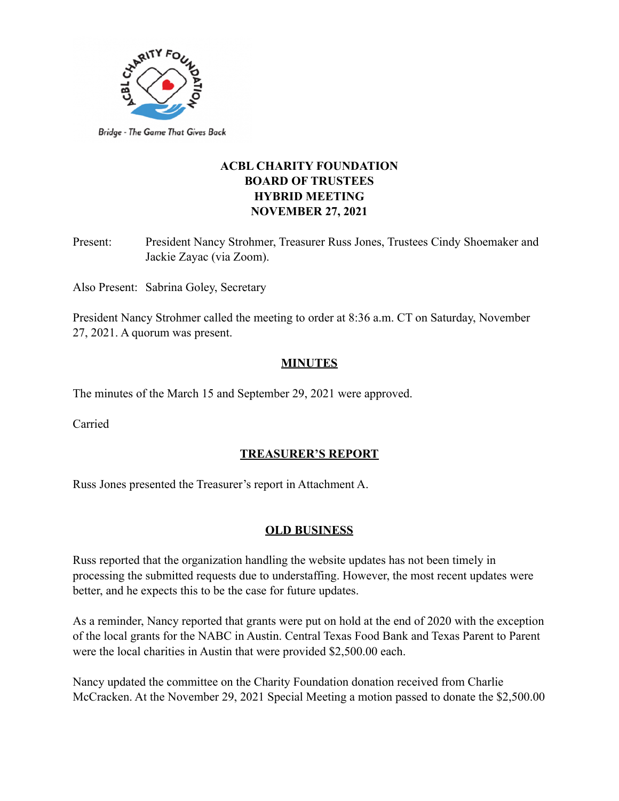

# **ACBL CHARITY FOUNDATION BOARD OF TRUSTEES HYBRID MEETING NOVEMBER 27, 2021**

Present: President Nancy Strohmer, Treasurer Russ Jones, Trustees Cindy Shoemaker and Jackie Zayac (via Zoom).

Also Present: Sabrina Goley, Secretary

President Nancy Strohmer called the meeting to order at 8:36 a.m. CT on Saturday, November 27, 2021. A quorum was present.

### **MINUTES**

The minutes of the March 15 and September 29, 2021 were approved.

Carried

### **TREASURER'S REPORT**

Russ Jones presented the Treasurer's report in Attachment A.

#### **OLD BUSINESS**

Russ reported that the organization handling the website updates has not been timely in processing the submitted requests due to understaffing. However, the most recent updates were better, and he expects this to be the case for future updates.

As a reminder, Nancy reported that grants were put on hold at the end of 2020 with the exception of the local grants for the NABC in Austin. Central Texas Food Bank and Texas Parent to Parent were the local charities in Austin that were provided \$2,500.00 each.

Nancy updated the committee on the Charity Foundation donation received from Charlie McCracken. At the November 29, 2021 Special Meeting a motion passed to donate the \$2,500.00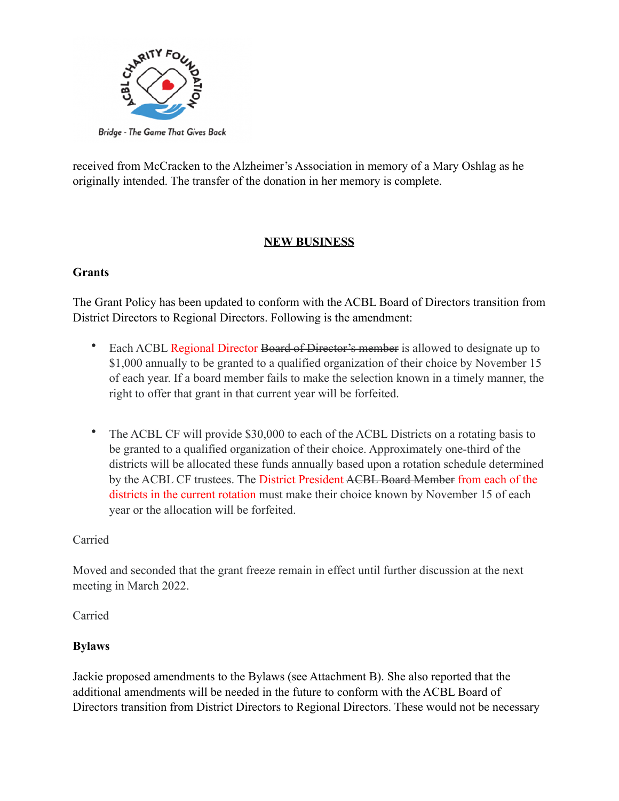

received from McCracken to the Alzheimer's Association in memory of a Mary Oshlag as he originally intended. The transfer of the donation in her memory is complete.

## **NEW BUSINESS**

### **Grants**

The Grant Policy has been updated to conform with the ACBL Board of Directors transition from District Directors to Regional Directors. Following is the amendment:

- Each ACBL Regional Director Board of Director's member is allowed to designate up to \$1,000 annually to be granted to a qualified organization of their choice by November 15 of each year. If a board member fails to make the selection known in a timely manner, the right to offer that grant in that current year will be forfeited.
- The ACBL CF will provide \$30,000 to each of the ACBL Districts on a rotating basis to be granted to a qualified organization of their choice. Approximately one-third of the districts will be allocated these funds annually based upon a rotation schedule determined by the ACBL CF trustees. The District President ACBL Board Member from each of the districts in the current rotation must make their choice known by November 15 of each year or the allocation will be forfeited.

### Carried

Moved and seconded that the grant freeze remain in effect until further discussion at the next meeting in March 2022.

Carried

## **Bylaws**

Jackie proposed amendments to the Bylaws (see Attachment B). She also reported that the additional amendments will be needed in the future to conform with the ACBL Board of Directors transition from District Directors to Regional Directors. These would not be necessary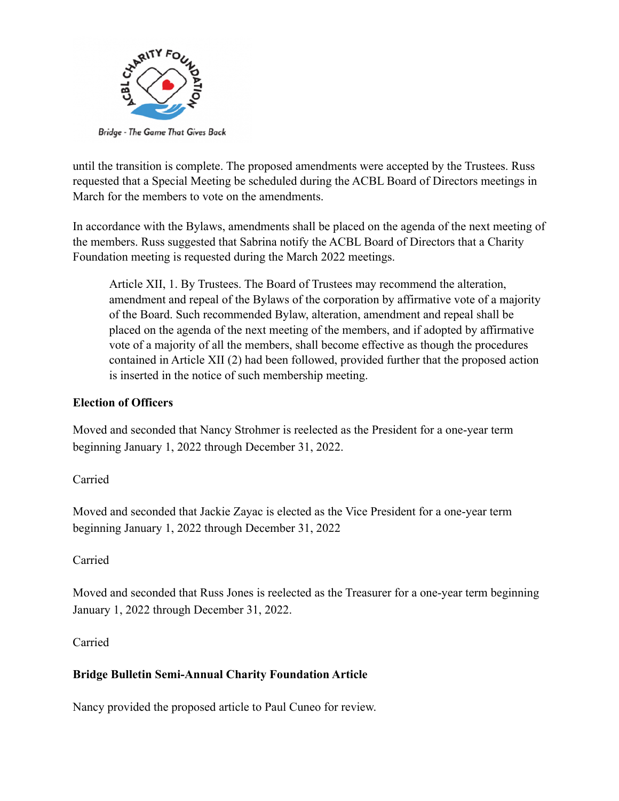

until the transition is complete. The proposed amendments were accepted by the Trustees. Russ requested that a Special Meeting be scheduled during the ACBL Board of Directors meetings in March for the members to vote on the amendments.

In accordance with the Bylaws, amendments shall be placed on the agenda of the next meeting of the members. Russ suggested that Sabrina notify the ACBL Board of Directors that a Charity Foundation meeting is requested during the March 2022 meetings.

Article XII, 1. By Trustees. The Board of Trustees may recommend the alteration, amendment and repeal of the Bylaws of the corporation by affirmative vote of a majority of the Board. Such recommended Bylaw, alteration, amendment and repeal shall be placed on the agenda of the next meeting of the members, and if adopted by affirmative vote of a majority of all the members, shall become effective as though the procedures contained in Article XII (2) had been followed, provided further that the proposed action is inserted in the notice of such membership meeting.

## **Election of Officers**

Moved and seconded that Nancy Strohmer is reelected as the President for a one-year term beginning January 1, 2022 through December 31, 2022.

Carried

Moved and seconded that Jackie Zayac is elected as the Vice President for a one-year term beginning January 1, 2022 through December 31, 2022

### Carried

Moved and seconded that Russ Jones is reelected as the Treasurer for a one-year term beginning January 1, 2022 through December 31, 2022.

Carried

## **Bridge Bulletin Semi-Annual Charity Foundation Article**

Nancy provided the proposed article to Paul Cuneo for review.